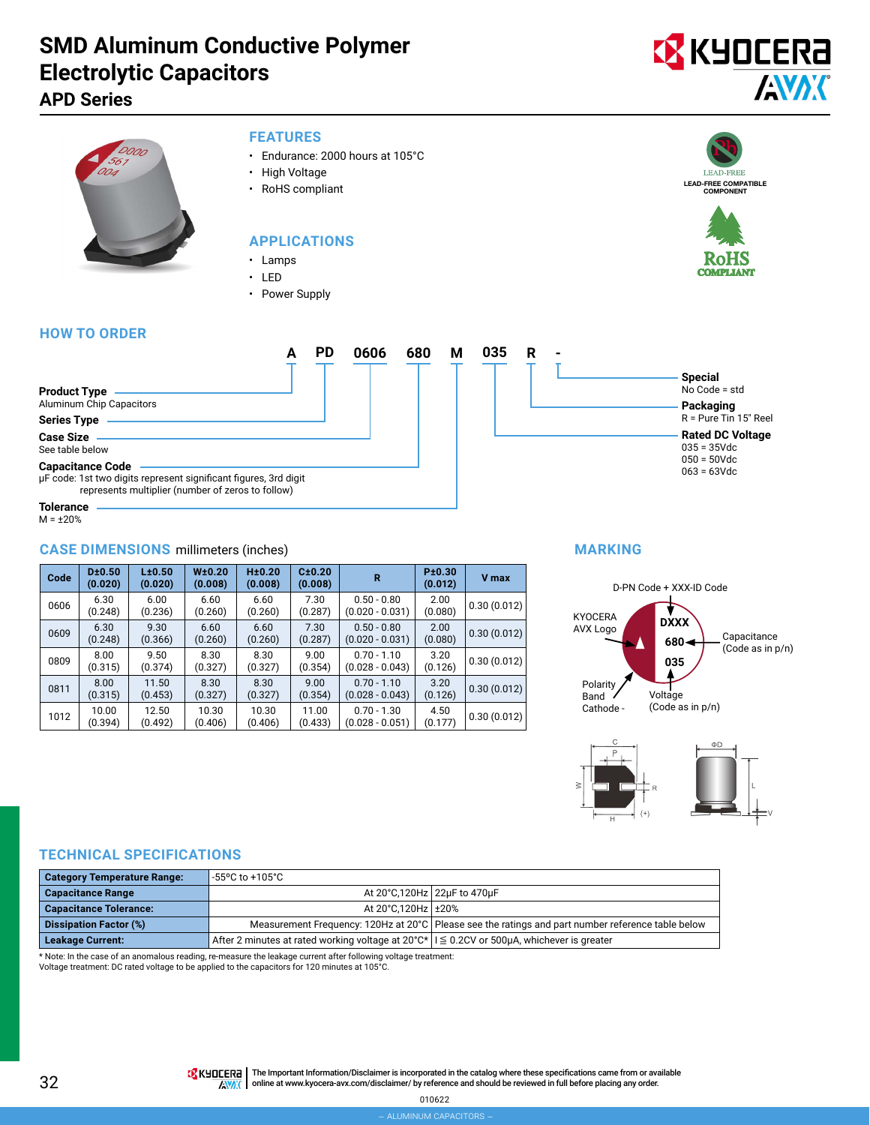# **SMD Aluminum Conductive Polymer Electrolytic Capacitors**

### **APD Series**



#### **FEATURES**

- Endurance: 2000 hours at 105°C
- High Voltage
- RoHS compliant

#### **APPLICATIONS**

- Lamps
- LED
- Power Supply

#### **HOW TO ORDER**



 $M = \pm 20%$ 

#### **CASE DIMENSIONS** millimeters (inches)

| Code | D±0.50<br>(0.020) | L±0.50<br>(0.020) | W <sub>±</sub> 0.20<br>(0.008) | H±0.20<br>(0.008) | C±0.20<br>(0.008) | R                                  | P±0.30<br>(0.012) | V max       |
|------|-------------------|-------------------|--------------------------------|-------------------|-------------------|------------------------------------|-------------------|-------------|
| 0606 | 6.30<br>(0.248)   | 6.00<br>(0.236)   | 6.60<br>(0.260)                | 6.60<br>(0.260)   | 7.30<br>(0.287)   | $0.50 - 0.80$<br>$(0.020 - 0.031)$ | 2.00<br>(0.080)   | 0.30(0.012) |
| 0609 | 6.30<br>(0.248)   | 9.30<br>(0.366)   | 6.60<br>(0.260)                | 6.60<br>(0.260)   | 7.30<br>(0.287)   | $0.50 - 0.80$<br>$(0.020 - 0.031)$ | 2.00<br>(0.080)   | 0.30(0.012) |
| 0809 | 8.00<br>(0.315)   | 9.50<br>(0.374)   | 8.30<br>(0.327)                | 8.30<br>(0.327)   | 9.00<br>(0.354)   | $0.70 - 1.10$<br>$(0.028 - 0.043)$ | 3.20<br>(0.126)   | 0.30(0.012) |
| 0811 | 8.00<br>(0.315)   | 11.50<br>(0.453)  | 8.30<br>(0.327)                | 8.30<br>(0.327)   | 9.00<br>(0.354)   | $0.70 - 1.10$<br>$(0.028 - 0.043)$ | 3.20<br>(0.126)   | 0.30(0.012) |
| 1012 | 10.00<br>(0.394)  | 12.50<br>(0.492)  | 10.30<br>(0.406)               | 10.30<br>(0.406)  | 11.00<br>(0.433)  | $0.70 - 1.30$<br>$(0.028 - 0.051)$ | 4.50<br>(0.177)   | 0.30(0.012) |

#### **MARKING**





#### **TECHNICAL SPECIFICATIONS**

| <b>Category Temperature Range:</b> | -55°C to +105°C                                                                                            |                                                                                                     |
|------------------------------------|------------------------------------------------------------------------------------------------------------|-----------------------------------------------------------------------------------------------------|
| <b>Capacitance Range</b>           |                                                                                                            | At 20°C,120Hz 22µF to 470µF                                                                         |
| <b>Capacitance Tolerance:</b>      | At 20°C.120Hz +20%                                                                                         |                                                                                                     |
| <b>Dissipation Factor (%)</b>      |                                                                                                            | Measurement Frequency: 120Hz at 20°C   Please see the ratings and part number reference table below |
| <b>Leakage Current:</b>            | After 2 minutes at rated working voltage at $20^{\circ}C^*$   $\leq 0.2$ CV or 500µA, whichever is greater |                                                                                                     |

\* Note: In the case of an anomalous reading, re-measure the leakage current after following voltage treatment:

Voltage treatment: DC rated voltage to be applied to the capacitors for 120 minutes at 105°C.

**TA** KHOCER<sub>E</sub> | The Important Information/Disclaimer is incorporated in the catalog where these specifications came from or available **AVAK** online at [www.kyocera-avx.com/disclaimer/](http://www.kyocera-avx.com/disclaimer/) by reference and should be reviewed in full before placing any order.



**Special** No Code = std **Packaging** R = Pure Tin 15" Reel **Rated DC Voltage** 035 = 35Vdc 050 = 50Vdc 063 = 63Vdc

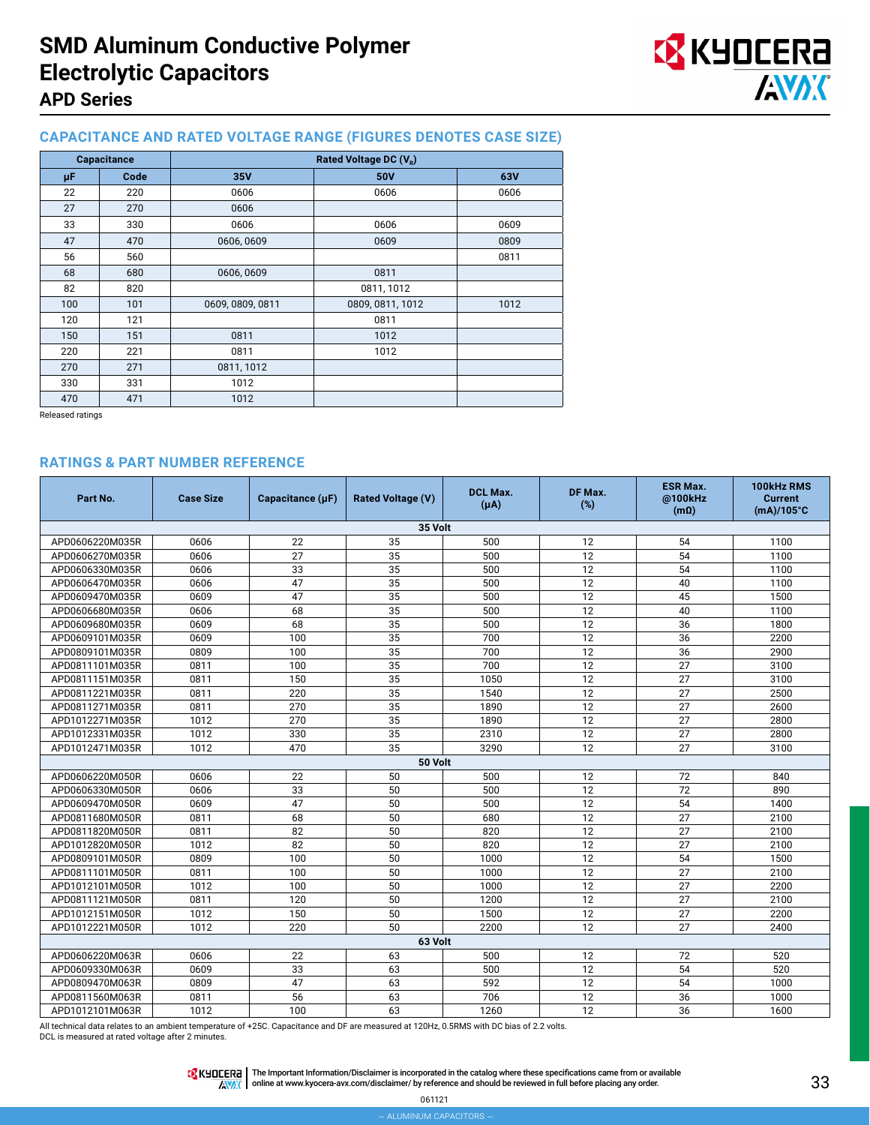

#### **CAPACITANCE AND RATED VOLTAGE RANGE (FIGURES DENOTES CASE SIZE)**

| Capacitance |      |                  | Rated Voltage DC $(V_R)$ |      |
|-------------|------|------------------|--------------------------|------|
| μF          | Code | 35V              | 50V                      | 63V  |
| 22          | 220  | 0606             | 0606                     | 0606 |
| 27          | 270  | 0606             |                          |      |
| 33          | 330  | 0606             | 0606                     | 0609 |
| 47          | 470  | 0606, 0609       | 0609                     | 0809 |
| 56          | 560  |                  |                          | 0811 |
| 68          | 680  | 0606, 0609       | 0811                     |      |
| 82          | 820  |                  | 0811, 1012               |      |
| 100         | 101  | 0609, 0809, 0811 | 0809, 0811, 1012         | 1012 |
| 120         | 121  |                  | 0811                     |      |
| 150         | 151  | 0811             | 1012                     |      |
| 220         | 221  | 0811             | 1012                     |      |
| 270         | 271  | 0811, 1012       |                          |      |
| 330         | 331  | 1012             |                          |      |
| 470         | 471  | 1012             |                          |      |

Released ratings

#### **RATINGS & PART NUMBER REFERENCE**

| Part No.        | <b>Case Size</b> | Capacitance (µF) | <b>Rated Voltage (V)</b> | <b>DCL Max.</b><br>$(\mu A)$ | DF Max.<br>(%)  | <b>ESR Max.</b><br>@100kHz<br>$(m\Omega)$ | 100kHz RMS<br><b>Current</b><br>$(mA)/105^{\circ}C$ |
|-----------------|------------------|------------------|--------------------------|------------------------------|-----------------|-------------------------------------------|-----------------------------------------------------|
|                 |                  |                  | 35 Volt                  |                              |                 |                                           |                                                     |
| APD0606220M035R | 0606             | 22               | 35                       | 500                          | 12              | 54                                        | 1100                                                |
| APD0606270M035R | 0606             | 27               | 35                       | 500                          | 12              | 54                                        | 1100                                                |
| APD0606330M035R | 0606             | 33               | $\overline{35}$          | 500                          | $\overline{12}$ | 54                                        | 1100                                                |
| APD0606470M035R | 0606             | 47               | 35                       | 500                          | 12              | 40                                        | 1100                                                |
| APD0609470M035R | 0609             | 47               | 35                       | 500                          | 12              | 45                                        | 1500                                                |
| APD0606680M035R | 0606             | 68               | 35                       | 500                          | 12              | 40                                        | 1100                                                |
| APD0609680M035R | 0609             | 68               | 35                       | 500                          | 12              | 36                                        | 1800                                                |
| APD0609101M035R | 0609             | 100              | 35                       | 700                          | 12              | 36                                        | 2200                                                |
| APD0809101M035R | 0809             | 100              | 35                       | 700                          | 12              | 36                                        | 2900                                                |
| APD0811101M035R | 0811             | 100              | 35                       | 700                          | 12              | 27                                        | 3100                                                |
| APD0811151M035R | 0811             | 150              | $\overline{35}$          | 1050                         | $\overline{12}$ | $\overline{27}$                           | 3100                                                |
| APD0811221M035R | 0811             | 220              | 35                       | 1540                         | 12              | 27                                        | 2500                                                |
| APD0811271M035R | 0811             | 270              | 35                       | 1890                         | 12              | 27                                        | 2600                                                |
| APD1012271M035R | 1012             | 270              | 35                       | 1890                         | 12              | 27                                        | 2800                                                |
| APD1012331M035R | 1012             | 330              | 35                       | 2310                         | 12              | 27                                        | 2800                                                |
| APD1012471M035R | 1012             | 470              | 35                       | 3290                         | 12              | 27                                        | 3100                                                |
|                 |                  |                  | 50 Volt                  |                              |                 |                                           |                                                     |
| APD0606220M050R | 0606             | 22               | 50                       | 500                          | 12              | 72                                        | 840                                                 |
| APD0606330M050R | 0606             | 33               | 50                       | 500                          | 12              | 72                                        | 890                                                 |
| APD0609470M050R | 0609             | 47               | 50                       | 500                          | 12              | 54                                        | 1400                                                |
| APD0811680M050R | 0811             | 68               | 50                       | 680                          | 12              | 27                                        | 2100                                                |
| APD0811820M050R | 0811             | 82               | 50                       | 820                          | 12              | 27                                        | 2100                                                |
| APD1012820M050R | 1012             | 82               | 50                       | 820                          | 12              | 27                                        | 2100                                                |
| APD0809101M050R | 0809             | 100              | 50                       | 1000                         | 12              | 54                                        | 1500                                                |
| APD0811101M050R | 0811             | 100              | 50                       | 1000                         | 12              | 27                                        | 2100                                                |
| APD1012101M050R | 1012             | 100              | 50                       | 1000                         | 12              | 27                                        | 2200                                                |
| APD0811121M050R | 0811             | 120              | 50                       | 1200                         | 12              | 27                                        | 2100                                                |
| APD1012151M050R | 1012             | 150              | 50                       | 1500                         | 12              | 27                                        | 2200                                                |
| APD1012221M050R | 1012             | 220              | 50                       | 2200                         | 12              | 27                                        | 2400                                                |
|                 |                  |                  | 63 Volt                  |                              |                 |                                           |                                                     |
| APD0606220M063R | 0606             | 22               | 63                       | 500                          | 12              | 72                                        | 520                                                 |
| APD0609330M063R | 0609             | 33               | 63                       | 500                          | 12              | 54                                        | 520                                                 |
| APD0809470M063R | 0809             | 47               | 63                       | 592                          | 12              | 54                                        | 1000                                                |
| APD0811560M063R | 0811             | 56               | 63                       | 706                          | 12              | 36                                        | 1000                                                |
| APD1012101M063R | 1012             | 100              | 63                       | 1260                         | 12              | 36                                        | 1600                                                |

All technical data relates to an ambient temperature of +25C. Capacitance and DF are measured at 120Hz, 0.5RMS with DC bias of 2.2 volts.

DCL is measured at rated voltage after 2 minutes.

The Important Information/Disclaimer is incorporated in the catalog where these specifications came from or available<br>online at [www.kyocera-avx.com/disclaimer/](http://www.kyocera-avx.com/disclaimer/) by reference and should be reviewed in full before placing any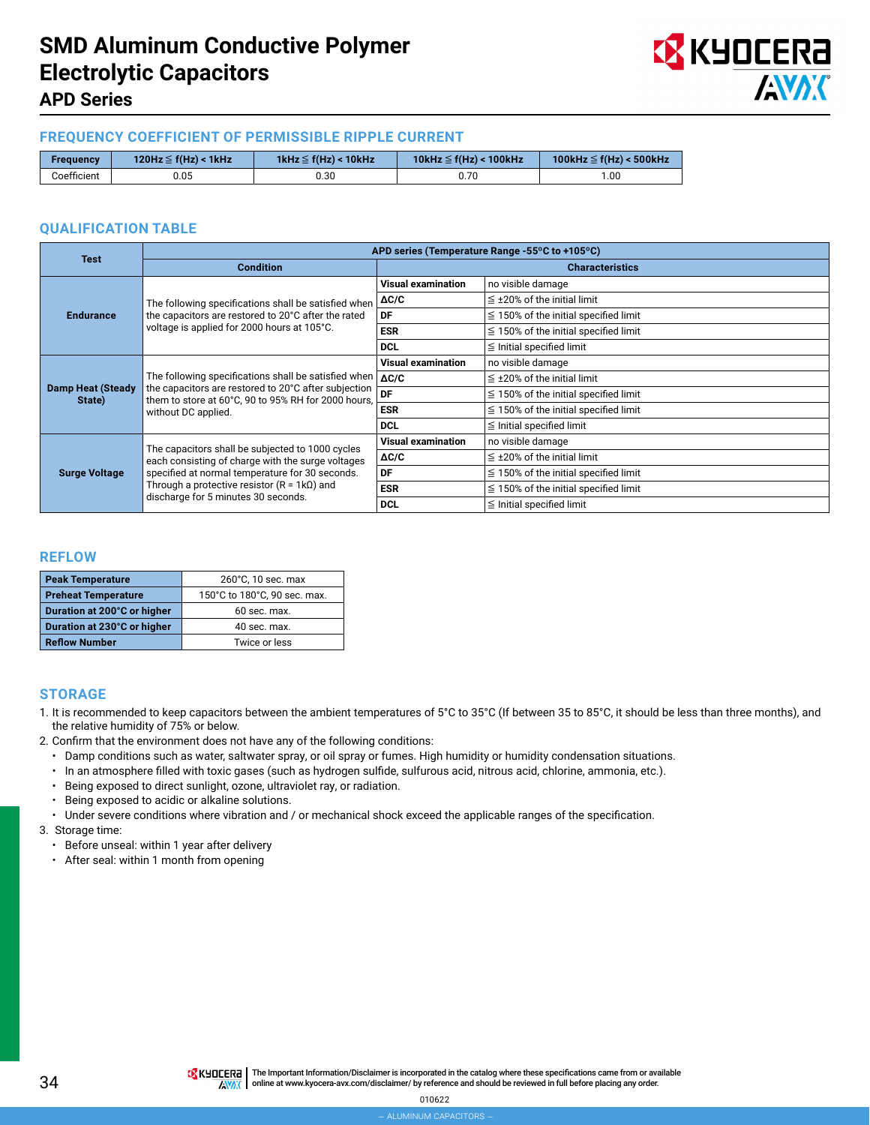

## **APD Series**

#### **FREQUENCY COEFFICIENT OF PERMISSIBLE RIPPLE CURRENT**

| Frequency   | 120Hz $\leq$ f(Hz) < 1kHz | 1kHz $\leq$ f(Hz) < 10kHz | 10kHz $\leq$ f(Hz) < 100kHz | 100kHz $\leq$ f(Hz) < 500kHz |
|-------------|---------------------------|---------------------------|-----------------------------|------------------------------|
| Coefficient |                           | 30.30                     | J.70                        | .00                          |

#### **QUALIFICATION TABLE**

| <b>Test</b>                        | APD series (Temperature Range -55°C to +105°C)                                                                                                                                               |                                                                             |                                            |  |  |  |
|------------------------------------|----------------------------------------------------------------------------------------------------------------------------------------------------------------------------------------------|-----------------------------------------------------------------------------|--------------------------------------------|--|--|--|
|                                    | <b>Condition</b>                                                                                                                                                                             |                                                                             | <b>Characteristics</b>                     |  |  |  |
|                                    |                                                                                                                                                                                              | <b>Visual examination</b>                                                   | no visible damage                          |  |  |  |
| <b>Endurance</b>                   | The following specifications shall be satisfied when $\Delta C/C$                                                                                                                            |                                                                             | $\leq$ ±20% of the initial limit           |  |  |  |
|                                    | the capacitors are restored to 20°C after the rated                                                                                                                                          | DF                                                                          | $\leq$ 150% of the initial specified limit |  |  |  |
|                                    | voltage is applied for 2000 hours at 105°C.                                                                                                                                                  | <b>ESR</b>                                                                  | $\leq$ 150% of the initial specified limit |  |  |  |
|                                    |                                                                                                                                                                                              | <b>DCL</b>                                                                  | $\leq$ Initial specified limit             |  |  |  |
|                                    |                                                                                                                                                                                              | <b>Visual examination</b>                                                   | no visible damage                          |  |  |  |
|                                    | The following specifications shall be satisfied when  <br>the capacitors are restored to 20°C after subjection<br>them to store at 60°C, 90 to 95% RH for 2000 hours,<br>without DC applied. | $\Delta C/C$                                                                | $\leq$ ±20% of the initial limit           |  |  |  |
| <b>Damp Heat (Steady</b><br>State) |                                                                                                                                                                                              | DF                                                                          | $\leq$ 150% of the initial specified limit |  |  |  |
|                                    |                                                                                                                                                                                              | <b>ESR</b>                                                                  | $\leq$ 150% of the initial specified limit |  |  |  |
|                                    |                                                                                                                                                                                              | <b>DCL</b><br><b>Visual examination</b><br>$\Delta C/C$<br>DF<br><b>ESR</b> | $\leq$ Initial specified limit             |  |  |  |
|                                    | The capacitors shall be subjected to 1000 cycles                                                                                                                                             |                                                                             | no visible damage                          |  |  |  |
|                                    | each consisting of charge with the surge voltages<br>specified at normal temperature for 30 seconds.<br>Through a protective resistor ( $R = 1k\Omega$ ) and                                 |                                                                             | $\leq$ ±20% of the initial limit           |  |  |  |
| <b>Surge Voltage</b>               |                                                                                                                                                                                              |                                                                             | $\leq$ 150% of the initial specified limit |  |  |  |
|                                    |                                                                                                                                                                                              |                                                                             | $\leq$ 150% of the initial specified limit |  |  |  |
|                                    | discharge for 5 minutes 30 seconds.                                                                                                                                                          | <b>DCL</b>                                                                  | $\leq$ Initial specified limit             |  |  |  |

#### **REFLOW**

| <b>Peak Temperature</b>     | 260°C, 10 sec. max           |  |  |
|-----------------------------|------------------------------|--|--|
| <b>Preheat Temperature</b>  | 150°C to 180°C, 90 sec. max. |  |  |
| Duration at 200°C or higher | 60 sec. max.                 |  |  |
| Duration at 230°C or higher | 40 sec. max.                 |  |  |
| <b>Reflow Number</b>        | Twice or less                |  |  |

#### **STORAGE**

- 1. It is recommended to keep capacitors between the ambient temperatures of 5°C to 35°C (If between 35 to 85°C, it should be less than three months), and the relative humidity of 75% or below.
- 2. Confirm that the environment does not have any of the following conditions:
	- Damp conditions such as water, saltwater spray, or oil spray or fumes. High humidity or humidity condensation situations.
	- In an atmosphere filled with toxic gases (such as hydrogen sulfide, sulfurous acid, nitrous acid, chlorine, ammonia, etc.).
	- Being exposed to direct sunlight, ozone, ultraviolet ray, or radiation.
	- Being exposed to acidic or alkaline solutions.
	- Under severe conditions where vibration and / or mechanical shock exceed the applicable ranges of the specification.
- 3. Storage time:
	- Before unseal: within 1 year after delivery
	- After seal: within 1 month from opening